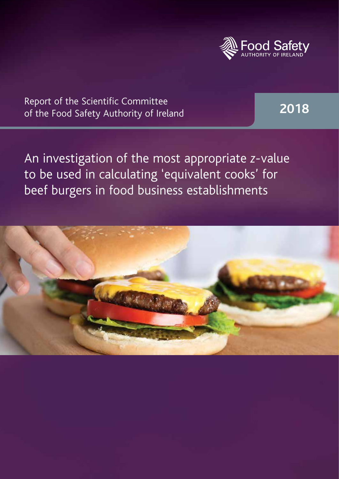

Report of the Scientific Committee of the Food Safety Authority of Ireland **2018**

An investigation of the most appropriate *z-*value to be used in calculating 'equivalent cooks' for beef burgers in food business establishments

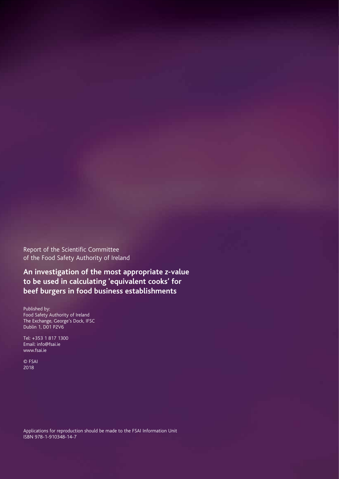

Report of the Scientific Committee of the Food Safety Authority of Ireland

**An investigation of the most appropriate** *z-***value to be used in calculating 'equivalent cooks' for beef burgers in food business establishments**

Published by: Food Safety Authority of Ireland The Exchange, George's Dock, IFSC Dublin 1, D01 P2V6

Tel: +353 1 817 1300 Email: info@fsai.ie www.fsai.ie

© FSAI 2018

Applications for reproduction should be made to the FSAI Information Unit ISBN 978-1-910348-14-7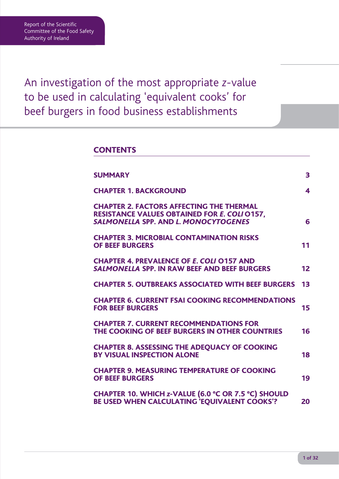An investigation of the most appropriate *z-*value to be used in calculating 'equivalent cooks' for beef burgers in food business establishments

# **CONTENTS** SUMMARY 33 CHAPTER 1. [BACKGROUND](#page-5-0) 4 CHAPTER 2. FACTORS [AFFECTING](#page-7-0) THE THERMAL [RESISTANCE](#page-7-0) VALUES OBTAINED FOR *E. COLI* O157, *SALMONELLA* SPP. AND *[L. MONOCYTOGENES](#page-7-0)* 6 CHAPTER 3. MICROBIAL [CONTAMINATION](#page-12-0) RISKS **OF BEEF [BURGERS](#page-12-0)** 11 CHAPTER 4. [PREVALENCE](#page-13-0) OF *E. COLI* O157 AND *[SALMONELLA](#page-13-0)* SPP. IN RAW BEEF AND BEEF BURGERS 12 CHAPTER 5. OUTBREAKS [ASSOCIATED](#page-14-0) WITH BEEF BURGERS 13 CHAPTER 6. CURRENT FSAI COOKING [RECOMMENDATIONS](#page-16-0) **FOR BEEF BURGERS** 15 CHAPTER 7. CURRENT [RECOMMENDATIONS](#page-17-0) FOR THE COOKING OF BEEF BURGERS IN OTHER COUNTRIES 16 CHAPTER 8. ASSESSING THE [ADEQUACY](#page-19-0) OF COOKING BY VISUAL [INSPECTION](#page-19-0) ALONE **18** CHAPTER 9. MEASURING [TEMPERATURE](#page-20-0) OF COOKING **OF BEEF BURGERS** 19 [CHAPTER](#page-21-0) 10. WHICH *z-*VALUE (6.0 °C OR 7.5 °C) SHOULD BE USED WHEN [CALCULATING](#page-21-0) 'EQUIVALENT COOKS'? 20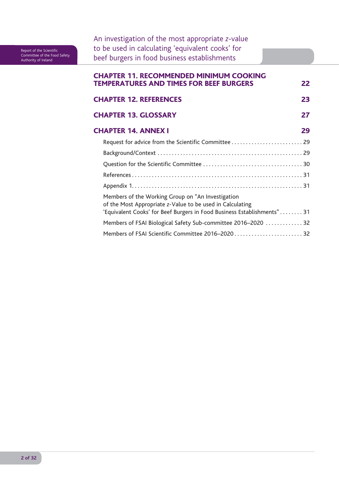An investigation of the most appropriate *z*-value to be used in calculating 'equivalent cooks' for beef burgers in food business establishments

| <b>CHAPTER 11. RECOMMENDED MINIMUM COOKING</b><br><b>TEMPERATURES AND TIMES FOR BEEF BURGERS</b>               | 22 |
|----------------------------------------------------------------------------------------------------------------|----|
| <b>CHAPTER 12. REFERENCES</b>                                                                                  | 23 |
| <b>CHAPTER 13. GLOSSARY</b>                                                                                    | 27 |
| <b>CHAPTER 14. ANNEX I</b>                                                                                     | 29 |
| Request for advice from the Scientific Committee  29                                                           |    |
|                                                                                                                |    |
|                                                                                                                |    |
|                                                                                                                |    |
|                                                                                                                |    |
| Members of the Working Group on "An Investigation<br>of the Most Appropriate z-Value to be used in Calculating |    |
| 'Equivalent Cooks' for Beef Burgers in Food Business Establishments"31                                         |    |
| Members of FSAI Biological Safety Sub-committee 2016-2020  32                                                  |    |
| Members of FSAI Scientific Committee 2016-202032                                                               |    |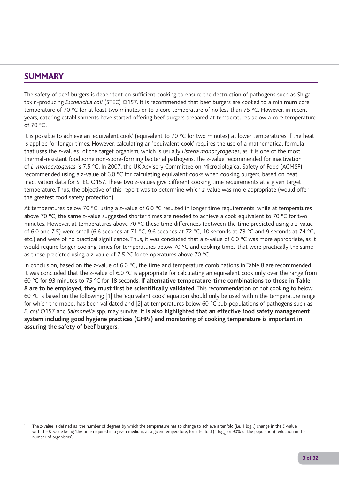## <span id="page-4-0"></span>SUMMARY

1

The safety of beef burgers is dependent on sufficient cooking to ensure the destruction of pathogens such as Shiga toxin-producing *Escherichia coli* (STEC) O157. It is recommended that beef burgers are cooked to a minimum core temperature of 70 °C for at least two minutes or to a core temperature of no less than 75 °C. However, in recent years, catering establishments have started offering beef burgers prepared at temperatures below a core temperature of 70 $\degree$ C.

It is possible to achieve an 'equivalent cook' (equivalent to 70  $\degree$ C for two minutes) at lower temperatures if the heat is applied for longer times. However, calculating an 'equivalent cook' requires the use of a mathematical formula that uses the z-values<sup>1</sup> of the target organism, which is usually *Listeria monocytogenes*, as it is one of the most thermal-resistant foodborne non-spore-forming bacterial pathogens. The *z-*value recommended for inactivation of *L. monocytogenes* is 7.5 °C. In 2007, the UK Advisory Committee on Microbiological Safety of Food (ACMSF) recommended using a *z-*value of 6.0 °C for calculating equivalent cooks when cooking burgers, based on heat inactivation data for STEC O157. These two *z-*values give different cooking time requirements at a given target temperature. Thus, the objective of this report was to determine which *z-*value was more appropriate (would offer the greatest food safety protection).

At temperatures below 70 °C, using a *z-*value of 6.0 °C resulted in longer time requirements, while at temperatures above 70 °C, the same *z-*value suggested shorter times are needed to achieve a cook equivalent to 70 °C for two minutes. However, at temperatures above 70 °C these time differences (between the time predicted using a *z-*value of 6.0 and 7.5) were small (6.6 seconds at 71 °C, 9.6 seconds at 72 °C, 10 seconds at 73 °C and 9 seconds at 74 °C, etc.) and were of no practical significance. Thus, it was concluded that a *z-*value of 6.0 °C was more appropriate, as it would require longer cooking times for temperatures below 70 °C and cooking times that were practically the same as those predicted using a *z-*value of 7.5 °C for temperatures above 70 °C.

In conclusion, based on the *z-*value of 6.0 °C, the time and temperature combinations in Table 8 are recommended. It was concluded that the *z-*value of 6.0 °C is appropriate for calculating an equivalent cook only over the range from 60 °C for 93 minutes to 75 °C for 18 seconds. **If alternative temperature-time combinations to those in Table 8 are to be employed, they must first be scientifically validated**. This recommendation of not cooking to below 60 °C is based on the following; [1] the 'equivalent cook' equation should only be used within the temperature range for which the model has been validated and [2] at temperatures below 60 °C sub-populations of pathogens such as *E. coli* O157 and *Salmonella* spp. may survive. **It is also highlighted that an effective food safety management system including good hygiene practices (GHPs) and monitoring of cooking temperature is important in assuring the safety of beef burgers**.

The *z*-value is defined as 'the number of degrees by which the temperature has to change to achieve a tenfold (i.e. 1 log<sub>10</sub>) change in the *D*-value', with the *D*-value being 'the time required in a given medium, at a given temperature, for a tenfold (1 log<sub>10</sub> or 90% of the population) reduction in the number of organisms'.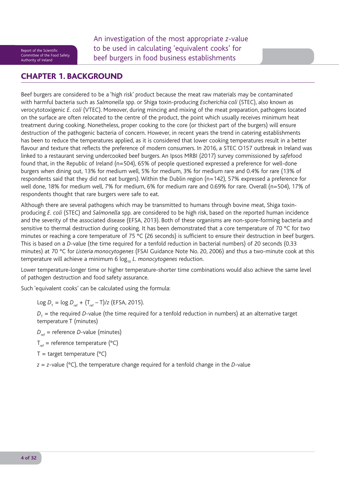An investigation of the most appropriate *z*-value to be used in calculating 'equivalent cooks' for beef burgers in food business establishments

## <span id="page-5-0"></span>CHAPTER 1. BACKGROUND

Beef burgers are considered to be a 'high risk' product because the meat raw materials may be contaminated with harmful bacteria such as *Salmonella* spp. or Shiga toxin-producing *Escherichia coli* (STEC), also known as verocytotoxigenic *E. coli* (VTEC). Moreover, during mincing and mixing of the meat preparation, pathogens located on the surface are often relocated to the centre of the product, the point which usually receives minimum heat treatment during cooking. Nonetheless, proper cooking to the core (or thickest part of the burgers) will ensure destruction of the pathogenic bacteria of concern. However, in recent years the trend in catering establishments has been to reduce the temperatures applied, as it is considered that lower cooking temperatures result in a better flavour and texture that reflects the preference of modern consumers. In 2016, a STEC O157 outbreak in Ireland was linked to a restaurant serving undercooked beef burgers. An Ipsos MRBI (2017) survey commissioned by *safe*food found that, in the Republic of Ireland (n=504), 65% of people questioned expressed a preference for well-done burgers when dining out, 13% for medium well, 5% for medium, 3% for medium rare and 0.4% for rare (13% of respondents said that they did not eat burgers). Within the Dublin region (n=142), 57% expressed a preference for well done, 18% for medium well, 7% for medium, 6% for medium rare and 0.69% for rare. Overall (n=504), 17% of respondents thought that rare burgers were safe to eat.

Although there are several pathogens which may be transmitted to humans through bovine meat, Shiga toxinproducing *E. coli* (STEC) and *Salmonella* spp. are considered to be high risk, based on the reported human incidence and the severity of the associated disease (EFSA, 2013). Both of these organisms are non-spore-forming bacteria and sensitive to thermal destruction during cooking. It has been demonstrated that a core temperature of 70 °C for two minutes or reaching a core temperature of 75 °C (26 seconds) is sufficient to ensure their destruction in beef burgers. This is based on a *D*-value (the time required for a tenfold reduction in bacterial numbers) of 20 seconds (0.33 minutes) at 70 °C for *Listeria monocytogenes* (FSAI Guidance Note No. 20, 2006) and thus a two-minute cook at this temperature will achieve a minimum 6 log<sub>10</sub> *L. monocytogenes* reduction.

Lower temperature-longer time or higher temperature-shorter time combinations would also achieve the same level of pathogen destruction and food safety assurance.

Such 'equivalent cooks' can be calculated using the formula:

 $\log D_{\tau} = \log D_{\text{ref}} + (\mathsf{T}_{\text{ref}} - \mathsf{T})/z$  (EFSA, 2015).

 $D_{_{\rm T}}$  = the required *D*-value (the time required for a tenfold reduction in numbers) at an alternative target temperature T (minutes)

 $D_{\text{ref}}$  = reference *D*-value (minutes)

 $T_{ref}$  = reference temperature (°C)

 $T =$  target temperature ( $^{\circ}C$ )

*z* = *z-*value (°C), the temperature change required for a tenfold change in the *D*-value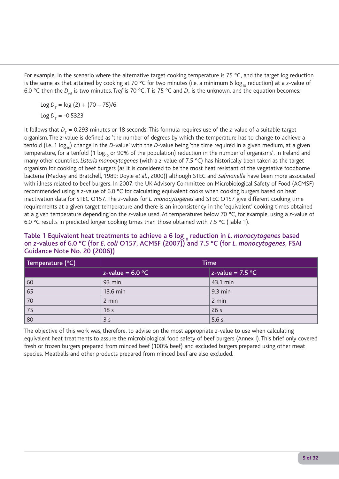For example, in the scenario where the alternative target cooking temperature is 75 °C, and the target log reduction is the same as that attained by cooking at 70 °C for two minutes (i.e. a minimum 6 log<sub>10</sub> reduction) at a *z*-value of 6.0 °C then the  $D_{\text{ref}}$  is two minutes, Tref is 70 °C, T is 75 °C and  $D_{\tau}$  is the unknown, and the equation becomes:

 $\text{Log } D_{\text{T}} = \text{log} (2) + (70 - 75)/6$  $Log D_{T} = -0.5323$ 

It follows that  $D_{_{\sf T}}$  = 0.293 minutes or 18 seconds. This formula requires use of the *z*-value of a suitable target organism. The *z-*value is defined as 'the number of degrees by which the temperature has to change to achieve a tenfold (i.e. 1 log<sub>10</sub>) change in the *D*-value' with the *D*-value being 'the time required in a given medium, at a given temperature, for a tenfold (1 log<sub>10</sub> or 90% of the population) reduction in the number of organisms'. In Ireland and many other countries, *Listeria monocytogenes* (with a *z-*value of 7.5 °C) has historically been taken as the target organism for cooking of beef burgers (as it is considered to be the most heat resistant of the vegetative foodborne bacteria (Mackey and Bratchell, 1989; Doyle *et al.*, 2000)) although STEC and *Salmonella* have been more associated with illness related to beef burgers. In 2007, the UK Advisory Committee on Microbiological Safety of Food (ACMSF) recommended using a *z-*value of 6.0 °C for calculating equivalent cooks when cooking burgers based on heat inactivation data for STEC O157. The *z-*values for *L. monocytogenes* and STEC O157 give different cooking time requirements at a given target temperature and there is an inconsistency in the 'equivalent' cooking times obtained at a given temperature depending on the *z-*value used. At temperatures below 70 °C, for example, using a *z-*value of 6.0 °C results in predicted longer cooking times than those obtained with 7.5 °C (Table 1).

#### Table 1 Equivalent heat treatments to achieve a 6 log<sub>10</sub> reduction in *L. monocytogenes* based on *z-*values of 6.0 °C (for *E. coli* O157, ACMSF (2007)) and 7.5 °C (for *L. monocytogenes*, FSAI Guidance Note No. 20 (2006))

| Temperature (°C) | <b>Time</b>         |                     |  |
|------------------|---------------------|---------------------|--|
|                  | $z$ -value = 6.0 °C | $z$ -value = 7.5 °C |  |
| $\vert$ 60       | 93 min              | 43.1 min            |  |
| 65               | 13.6 min            | 9.3 min             |  |
| 70               | 2 min               | 2 min               |  |
| 75               | 18 <sub>s</sub>     | 26s                 |  |
| 80               | 3 <sub>s</sub>      | 5.6s                |  |

The objective of this work was, therefore, to advise on the most appropriate *z-*value to use when calculating equivalent heat treatments to assure the microbiological food safety of beef burgers (Annex I). This brief only covered fresh or frozen burgers prepared from minced beef (100% beef) and excluded burgers prepared using other meat species. Meatballs and other products prepared from minced beef are also excluded.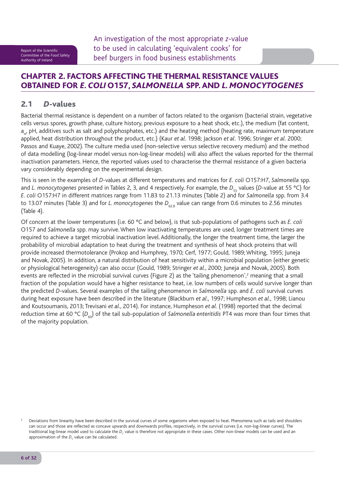<span id="page-7-0"></span>Report of the Scientific Committee of the Food Safety Authority of Ireland

An investigation of the most appropriate *z*-value to be used in calculating 'equivalent cooks' for beef burgers in food business establishments

## CHAPTER 2. FACTORS AFFECTING THE THERMAL RESISTANCE VALUES OBTAINED FOR *E. COLI* O157, *SALMONELLA* SPP.AND *L. MONOCYTOGENES*

### 2.1 *D*-values

Bacterial thermal resistance is dependent on a number of factors related to the organism (bacterial strain, vegetative cells versus spores, growth phase, culture history, previous exposure to a heat shock, etc.), the medium (fat content, a<sub>w</sub>, pH, additives such as salt and polyphosphates, etc.) and the heating method (heating rate, maximum temperature applied, heat distribution throughout the product, etc.) (Kaur *et al*. 1998; Jackson *et al*. 1996; Stringer *et al*. 2000; Passos and Kuaye, 2002). The culture media used (non-selective versus selective recovery medium) and the method of data modelling (log-linear model versus non-log-linear models) will also affect the values reported for the thermal inactivation parameters. Hence, the reported values used to characterise the thermal resistance of a given bacteria vary considerably depending on the experimental design.

This is seen in the examples of *D*-values at different temperatures and matrices for *E. coli* O157:H7, *Salmonella* spp. and *L. monocytogenes* presented in Tables 2, 3, and 4 respectively. For example, the  $D_{ss}$  values (*D*-value at 55 °C) for *E. coli* O157:H7 in different matrices range from 11.83 to 21.13 minutes (Table 2) and for *Salmonella* spp. from 3.4 to 13.07 minutes (Table 3) and for *L. monocytogenes* the  $D_{62.8}$  value can range from 0.6 minutes to 2.56 minutes (Table 4).

Of concern at the lower temperatures (i.e. 60 °C and below), is that sub-populations of pathogens such as *E. coli* O157 and *Salmonella* spp. may survive. When low inactivating temperatures are used, longer treatment times are required to achieve a target microbial inactivation level. Additionally, the longer the treatment time, the larger the probability of microbial adaptation to heat during the treatment and synthesis of heat shock proteins that will provide increased thermotolerance (Prokop and Humphrey, 1970; Cerf, 1977; Gould, 1989; Whiting, 1995; Juneja and Novak, 2005). In addition, a natural distribution of heat sensitivity within a microbial population (either genetic or physiological heterogeneity) can also occur (Gould, 1989; Stringer *et al*., 2000; Juneja and Novak, 2005). Both events are reflected in the microbial survival curves (Figure 2) as the 'tailing phenomenon',<sup>2</sup> meaning that a small fraction of the population would have a higher resistance to heat, i.e. low numbers of cells would survive longer than the predicted *D*-values. Several examples of the tailing phenomenon in *Salmonella* spp. and *E. coli* survival curves during heat exposure have been described in the literature (Blackburn *et al*., 1997; Humpheson *et al*., 1998; Lianou and Koutsoumanis, 2013; Trevisani *et al*., 2014). For instance, Humpheson *et al*. (1998) reported that the decimal reduction time at 60 °C (D<sub>cc</sub>) of the tail sub-population of *Salmonella enteritidis* PT4 was more than four times that of the majority population.

<sup>2</sup> Deviations from linearity have been described in the survival curves of some organisms when exposed to heat. Phenomena such as tails and shoulders can occur and those are reflected as concave upwards and downwards profiles, respectively, in the survival curves (i.e. non-log-linear curves). The traditional log-linear model used to calculate the  $D_{_{\sf T}}$  value is therefore not appropriate in these cases. Other non-linear models can be used and an approximation of the  $D_{\tau}$  value can be calculated.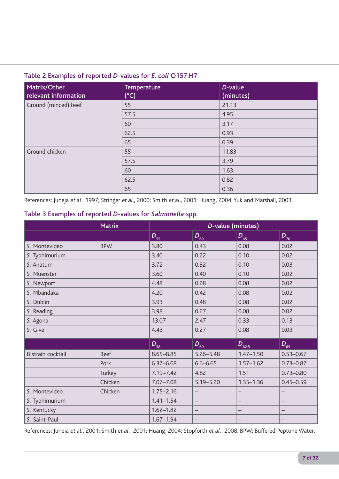| Matrix/Other<br>relevant information | Temperature<br>(C) | D-value<br>(minutes) |
|--------------------------------------|--------------------|----------------------|
| Ground (minced) beef                 | 55                 | 21.13                |
|                                      | 57.5               | 4.95                 |
|                                      | 60                 | 3.17                 |
|                                      | 62.5               | 0.93                 |
|                                      | 65                 | 0.39                 |
| Ground chicken                       | 55                 | 11.83                |
|                                      | 57.5               | 3.79                 |
|                                      | 60                 | 1.63                 |
|                                      | 62.5               | 0.82                 |
|                                      | 65                 | 0.36                 |

#### Table 2 Examples of reported *D-*values for *E. coli* O157:H7

References: Juneja *et al*., 1997; Stringer *et al*., 2000; Smith *et al*., 2001; Huang, 2004; Yuk and Marshall, 2003.

#### Table 3 Examples of reported *D-*values for *Salmonella* spp.

|                   | <b>Matrix</b> | D-value (minutes) |                          |                   |                   |
|-------------------|---------------|-------------------|--------------------------|-------------------|-------------------|
|                   |               | D <sub>55</sub>   | $D_{60}$                 | $D_{65}$          | $D_{70}$          |
| S. Montevideo     | <b>BPW</b>    | 3.80              | 0.43                     | 0.08              | 0.02              |
| S. Typhimurium    |               | 3.40              | 0.22                     | 0.10              | 0.02              |
| S. Anatum         |               | 3.72              | 0.32                     | 0.10              | 0.03              |
| S. Muenster       |               | 3.60              | 0.40                     | 0.10              | 0.02              |
| S. Newport        |               | 4.48              | 0.28                     | 0.08              | 0.02              |
| S. Mbandaka       |               | 4.20              | 0.42                     | 0.08              | 0.02              |
| S. Dublin         |               | 3.93              | 0.48                     | 0.08              | 0.02              |
| S. Reading        |               | 3.98              | 0.27                     | 0.08              | 0.02              |
| S. Agona          |               | 13.07             | 2.47                     | 0.33              | 0.13              |
| S. Give           |               | 4.43              | 0.27                     | 0.08              | 0.03              |
|                   |               | $D_{_{58}}$       | $D_{60}$                 | $D_{62.5}$        | $D_{65}$          |
| 8 strain cocktail | <b>Beef</b>   | 8.65-8.85         | $5.26 - 5.48$            | $1.47 - 1.50$     | $0.53 - 0.67$     |
|                   | Pork          | $6.37 - 6.68$     | $6.6 - 6.65$             | $1.57 - 1.62$     | $0.73 - 0.87$     |
|                   | Turkey        | $7.19 - 7.42$     | 4.82                     | 1.51              | $0.73 - 0.80$     |
|                   | Chicken       | 7.07-7.08         | $5.19 - 5.20$            | $1.35 - 1.36$     | $0.45 - 0.59$     |
| S. Montevideo     | Chicken       | $1.75 - 2.16$     | $\qquad \qquad -$        |                   | $\qquad \qquad -$ |
| S. Typhimurium    |               | $1.41 - 1.54$     | $\overline{\phantom{m}}$ | $\qquad \qquad -$ | $\qquad \qquad -$ |
| S. Kentucky       |               | $1.62 - 1.82$     | $\qquad \qquad -$        |                   |                   |
| S. Saint-Paul     |               | $1.67 - 1.94$     | $\overline{\phantom{m}}$ |                   | $\qquad \qquad -$ |

References: Juneja *et al.*, 2001; Smith *et al.*, 2001; Huang, 2004; Stopforth *et al.*, 2008. BPW: Buffered Peptone Water.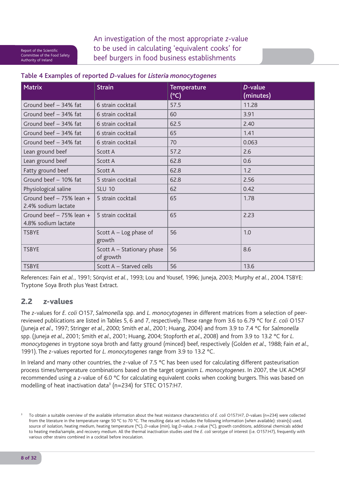Report of the Scientific Committee of the Food Safety Authority of Ireland

An investigation of the most appropriate *z*-value to be used in calculating 'equivalent cooks' for beef burgers in food business establishments

| Table 4 Examples of reported D-values for Listeria monocytogenes |  |  |  |  |
|------------------------------------------------------------------|--|--|--|--|
|------------------------------------------------------------------|--|--|--|--|

| <b>Matrix</b>                                   | <b>Strain</b>                           | <b>Temperature</b><br>(°C) | D-value<br>(minutes) |
|-------------------------------------------------|-----------------------------------------|----------------------------|----------------------|
| Ground beef - 34% fat                           | 6 strain cocktail                       | 57.5                       | 11.28                |
| Ground beef - 34% fat                           | 6 strain cocktail                       | 60                         | 3.91                 |
| Ground beef - 34% fat                           | 6 strain cocktail                       | 62.5                       | 2.40                 |
| Ground beef - 34% fat                           | 6 strain cocktail                       | 65                         | 1.41                 |
| Ground beef - 34% fat                           | 6 strain cocktail                       | 70                         | 0.063                |
| Lean ground beef                                | Scott A                                 | 57.2                       | 2.6                  |
| Lean ground beef                                | Scott A                                 | 62.8                       | 0.6                  |
| Fatty ground beef                               | Scott A                                 | 62.8                       | 1.2                  |
| Ground beef - 10% fat                           | 5 strain cocktail                       | 62.8                       | 2.56                 |
| Physiological saline                            | <b>SLU 10</b>                           | 62                         | 0.42                 |
| Ground beef - 75% lean +<br>2.4% sodium lactate | 5 strain cocktail                       | 65                         | 1.78                 |
| Ground beef - 75% lean +<br>4.8% sodium lactate | 5 strain cocktail                       | 65                         | 2.23                 |
| <b>TSBYE</b>                                    | Scott $A - Log$ phase of<br>growth      | 56                         | 1.0                  |
| <b>TSBYE</b>                                    | Scott A - Stationary phase<br>of growth | 56                         | 8.6                  |
| <b>TSBYE</b>                                    | Scott A - Starved cells                 | 56                         | 13.6                 |

References: Fain *et al.*, 1991; Sörqvist *et al.*, 1993; Lou and Yousef, 1996; Juneja, 2003; Murphy *et al.*, 2004. TSBYE: Tryptone Soya Broth plus Yeast Extract.

#### 2.2 *z-*values

The *z-*values for *E. coli* O157, *Salmonella* spp. and *L. monocytogenes* in different matrices from a selection of peerreviewed publications are listed in Tables 5, 6 and 7, respectively. These range from 3.6 to 6.79 °C for *E. coli* O157 (Juneja *et al*., 1997; Stringer *et al*., 2000; Smith *et al*., 2001; Huang, 2004) and from 3.9 to 7.4 °C for *Salmonella* spp. (Juneja *et al*., 2001; Smith *et al*., 2001; Huang, 2004; Stopforth *et al*., 2008) and from 3.9 to 13.2 °C for *L. monocytogenes* in tryptone soya broth and fatty ground (minced) beef, respectively (Golden *et al*., 1988; Fain *et al*., 1991). The *z-*values reported for *L. monocytogenes* range from 3.9 to 13.2 °C.

In Ireland and many other countries, the *z-*value of 7.5 °C has been used for calculating different pasteurisation process times/temperature combinations based on the target organism *L. monocytogenes*. In 2007, the UK ACMSF recommended using a *z-*value of 6.0 °C for calculating equivalent cooks when cooking burgers. This was based on modelling of heat inactivation data<sup>3</sup> (n=234) for STEC O157:H7.

<sup>3</sup> To obtain a suitable overview of the available information about the heat resistance characteristics of *E. coli* O157:H7, *D*-values (n=234) were collected from the literature in the temperature range 50 °C to 70 °C. The resulting data set includes the following information (when available): strain(s) used, source of isolation, heating medium, heating temperature (°C), *D*-value (min), log *D*-value, *z-*value (°C), growth conditions, additional chemicals added to heating media/sample, and recovery medium. All the thermal inactivation studies used the *E. coli* serotype of interest (i.e. O157:H7), frequently with various other strains combined in a cocktail before inoculation.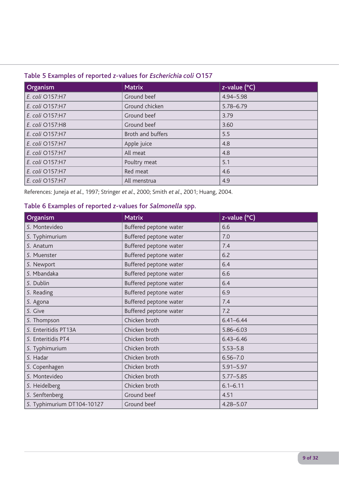| <b>Organism</b> | <b>Matrix</b>     | $z$ -value $(°C)$ |
|-----------------|-------------------|-------------------|
| E. coli O157:H7 | Ground beef       | 4.94-5.98         |
| E. coli O157:H7 | Ground chicken    | $5.78 - 6.79$     |
| E. coli O157:H7 | Ground beef       | 3.79              |
| E. coli O157:H8 | Ground beef       | 3.60              |
| E. coli O157:H7 | Broth and buffers | 5.5               |
| E. coli O157:H7 | Apple juice       | 4.8               |
| E. coli O157:H7 | All meat          | 4.8               |
| E. coli O157:H7 | Poultry meat      | 5.1               |
| E. coli O157:H7 | Red meat          | 4.6               |
| E. coli O157:H7 | All menstrua      | 4.9               |

## Table 5 Examples of reported *z-*values for *Escherichia coli* O157

References: Juneja *et al*., 1997; Stringer *et al*., 2000; Smith *et al*., 2001; Huang, 2004.

#### Table 6 Examples of reported *z-*values for *Salmonella* spp.

| <b>Organism</b>            | <b>Matrix</b>          | $z$ -value ( $^{\circ}$ C) |
|----------------------------|------------------------|----------------------------|
| S. Montevideo              | Buffered peptone water | 6.6                        |
| S. Typhimurium             | Buffered peptone water | 7.0                        |
| S. Anatum                  | Buffered peptone water | 7.4                        |
| S. Muenster                | Buffered peptone water | 6.2                        |
| S. Newport                 | Buffered peptone water | 6.4                        |
| S. Mbandaka                | Buffered peptone water | 6.6                        |
| S. Dublin                  | Buffered peptone water | 6.4                        |
| S. Reading                 | Buffered peptone water | 6.9                        |
| S. Agona                   | Buffered peptone water | 7.4                        |
| S. Give                    | Buffered peptone water | 7.2                        |
| S. Thompson                | Chicken broth          | $6.41 - 6.44$              |
| S. Enteritidis PT13A       | Chicken broth          | 5.86-6.03                  |
| S. Enteritidis PT4         | Chicken broth          | $6.43 - 6.46$              |
| S. Typhimurium             | Chicken broth          | $5.53 - 5.8$               |
| S. Hadar                   | Chicken broth          | $6.56 - 7.0$               |
| S. Copenhagen              | Chicken broth          | $5.91 - 5.97$              |
| S. Montevideo              | Chicken broth          | $5.77 - 5.85$              |
| S. Heidelberg              | Chicken broth          | $6.1 - 6.11$               |
| S. Senftenberg             | Ground beef            | 4.51                       |
| S. Typhimurium DT104-10127 | Ground beef            | $4.28 - 5.07$              |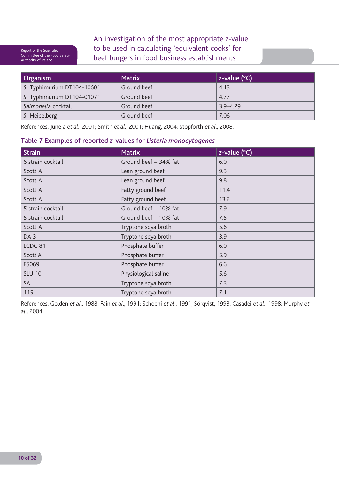Report of the Scientific Committee of the Food Safety Authority of Ireland

An investigation of the most appropriate *z*-value to be used in calculating 'equivalent cooks' for beef burgers in food business establishments

| Organism                   | <b>Matrix</b> | $z$ -value ( $°C$ ) |
|----------------------------|---------------|---------------------|
| S. Typhimurium DT104-10601 | Ground beef   | 4.13                |
| S. Typhimurium DT104-01071 | Ground beef   | 4.77                |
| Salmonella cocktail        | Ground beef   | $3.9 - 4.29$        |
| S. Heidelberg              | Ground beef   | 7.06                |

References: Juneja *et al*., 2001; Smith *et al*., 2001; Huang, 2004; Stopforth *et al*., 2008.

#### Table 7 Examples of reported *z-*values for *Listeria monocytogenes*

| <b>Strain</b>      | <b>Matrix</b>         | $z$ -value ( $°C$ ) |
|--------------------|-----------------------|---------------------|
| 6 strain cocktail  | Ground beef - 34% fat | 6.0                 |
| Scott A            | Lean ground beef      | 9.3                 |
| Scott A            | Lean ground beef      | 9.8                 |
| Scott A            | Fatty ground beef     | 11.4                |
| Scott A            | Fatty ground beef     | 13.2                |
| 5 strain cocktail  | Ground beef - 10% fat | 7.9                 |
| 5 strain cocktail  | Ground beef - 10% fat | 7.5                 |
| Scott A            | Tryptone soya broth   | 5.6                 |
| DA <sub>3</sub>    | Tryptone soya broth   | 3.9                 |
| LCDC <sub>81</sub> | Phosphate buffer      | 6.0                 |
| Scott A            | Phosphate buffer      | 5.9                 |
| F5069              | Phosphate buffer      | 6.6                 |
| <b>SLU 10</b>      | Physiological saline  | 5.6                 |
| SA                 | Tryptone soya broth   | 7.3                 |
| 1151               | Tryptone soya broth   | 7.1                 |

References: Golden *et al*., 1988; Fain *et al*., 1991; Schoeni *et al*., 1991; Sörqvist, 1993; Casadei *et al*., 1998; Murphy *et al*., 2004.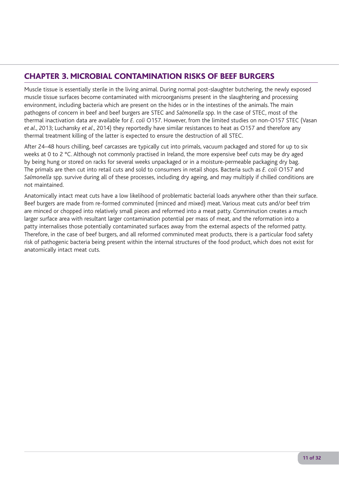## <span id="page-12-0"></span>CHAPTER 3. MICROBIAL CONTAMINATION RISKS OF BEEF BURGERS

Muscle tissue is essentially sterile in the living animal. During normal post-slaughter butchering, the newly exposed muscle tissue surfaces become contaminated with microorganisms present in the slaughtering and processing environment, including bacteria which are present on the hides or in the intestines of the animals. The main pathogens of concern in beef and beef burgers are STEC and *Salmonella* spp. In the case of STEC, most of the thermal inactivation data are available for *E. coli* O157. However, from the limited studies on non-O157 STEC (Vasan *et al*., 2013; Luchansky *et al*., 2014) they reportedly have similar resistances to heat as O157 and therefore any thermal treatment killing of the latter is expected to ensure the destruction of all STEC.

After 24–48 hours chilling, beef carcasses are typically cut into primals, vacuum packaged and stored for up to six weeks at 0 to 2 °C. Although not commonly practised in Ireland, the more expensive beef cuts may be dry aged by being hung or stored on racks for several weeks unpackaged or in a moisture-permeable packaging dry bag. The primals are then cut into retail cuts and sold to consumers in retail shops. Bacteria such as *E. coli* O157 and *Salmonella* spp. survive during all of these processes, including dry ageing, and may multiply if chilled conditions are not maintained.

Anatomically intact meat cuts have a low likelihood of problematic bacterial loads anywhere other than their surface. Beef burgers are made from re-formed comminuted (minced and mixed) meat. Various meat cuts and/or beef trim are minced or chopped into relatively small pieces and reformed into a meat patty. Comminution creates a much larger surface area with resultant larger contamination potential per mass of meat, and the reformation into a patty internalises those potentially contaminated surfaces away from the external aspects of the reformed patty. Therefore, in the case of beef burgers, and all reformed comminuted meat products, there is a particular food safety risk of pathogenic bacteria being present within the internal structures of the food product, which does not exist for anatomically intact meat cuts.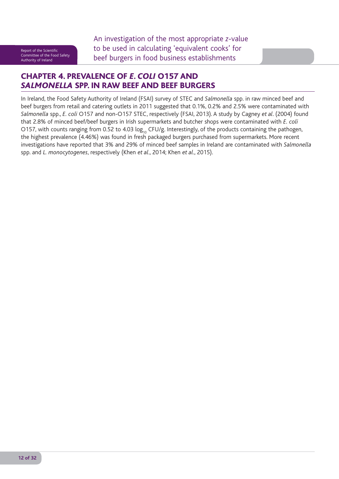<span id="page-13-0"></span>Report of the Scientific Committee of the Food Safety Authority of Ireland

An investigation of the most appropriate *z*-value to be used in calculating 'equivalent cooks' for beef burgers in food business establishments

## CHAPTER 4. PREVALENCE OF *E. COLI* O157 AND *SALMONELLA* SPP. IN RAW BEEF AND BEEF BURGERS

In Ireland, the Food Safety Authority of Ireland (FSAI) survey of STEC and *Salmonella* spp. in raw minced beef and beef burgers from retail and catering outlets in 2011 suggested that 0.1%, 0.2% and 2.5% were contaminated with *Salmonella* spp., *E. coli* O157 and non-O157 STEC, respectively (FSAI, 2013). A study by Cagney *et al*. (2004) found that 2.8% of minced beef/beef burgers in Irish supermarkets and butcher shops were contaminated with *E. coli* O157, with counts ranging from 0.52 to 4.03  $log_{10}$  CFU/g. Interestingly, of the products containing the pathogen, the highest prevalence (4.46%) was found in fresh packaged burgers purchased from supermarkets. More recent investigations have reported that 3% and 29% of minced beef samples in Ireland are contaminated with *Salmonella* spp. and *L. monocytogenes*, respectively (Khen *et al*., 2014; Khen *et al*., 2015).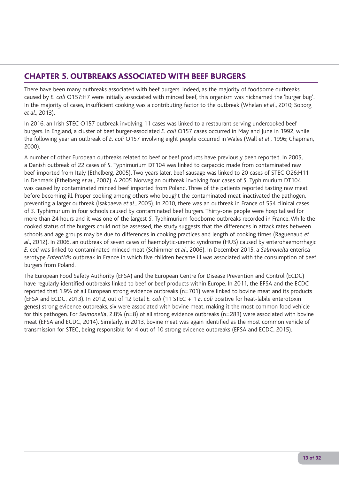## <span id="page-14-0"></span>CHAPTER 5. OUTBREAKS ASSOCIATED WITH BEEF BURGERS

There have been many outbreaks associated with beef burgers. Indeed, as the majority of foodborne outbreaks caused by *E. coli* O157:H7 were initially associated with minced beef, this organism was nicknamed the 'burger bug'. In the majority of cases, insufficient cooking was a contributing factor to the outbreak (Whelan *et al*., 2010; Soborg *et al*., 2013).

In 2016, an Irish STEC O157 outbreak involving 11 cases was linked to a restaurant serving undercooked beef burgers. In England, a cluster of beef burger-associated *E. coli* O157 cases occurred in May and June in 1992, while the following year an outbreak of *E. coli* O157 involving eight people occurred in Wales (Wall *et al*., 1996; Chapman, 2000).

A number of other European outbreaks related to beef or beef products have previously been reported. In 2005, a Danish outbreak of 22 cases of *S.* Typhimurium DT104 was linked to carpaccio made from contaminated raw beef imported from Italy (Ethelberg, 2005). Two years later, beef sausage was linked to 20 cases of STEC O26:H11 in Denmark (Ethelberg *et al*., 2007). A 2005 Norwegian outbreak involving four cases of *S.* Typhimurium DT104 was caused by contaminated minced beef imported from Poland. Three of the patients reported tasting raw meat before becoming ill. Proper cooking among others who bought the contaminated meat inactivated the pathogen, preventing a larger outbreak (Isakbaeva *et al*., 2005). In 2010, there was an outbreak in France of 554 clinical cases of *S.* Typhimurium in four schools caused by contaminated beef burgers. Thirty-one people were hospitalised for more than 24 hours and it was one of the largest *S.* Typhimurium foodborne outbreaks recorded in France. While the cooked status of the burgers could not be assessed, the study suggests that the differences in attack rates between schools and age groups may be due to differences in cooking practices and length of cooking times (Raguenaud *et al*., 2012). In 2006, an outbreak of seven cases of haemolytic-uremic syndrome (HUS) caused by enterohaemorrhagic *E. coli* was linked to contaminated minced meat (Schimmer *et al*., 2006). In December 2015, a *Salmonella* enterica serotype *Enteritidis* outbreak in France in which five children became ill was associated with the consumption of beef burgers from Poland.

The European Food Safety Authority (EFSA) and the European Centre for Disease Prevention and Control (ECDC) have regularly identified outbreaks linked to beef or beef products within Europe. In 2011, the EFSA and the ECDC reported that 1.9% of all European strong evidence outbreaks (n=701) were linked to bovine meat and its products (EFSA and ECDC, 2013). In 2012, out of 12 total *E. coli* (11 STEC + 1 *E. coli* positive for heat-labile enterotoxin genes) strong evidence outbreaks, six were associated with bovine meat, making it the most common food vehicle for this pathogen. For *Salmonella*, 2.8% (n=8) of all strong evidence outbreaks (n=283) were associated with bovine meat (EFSA and ECDC, 2014). Similarly, in 2013, bovine meat was again identified as the most common vehicle of transmission for STEC, being responsible for 4 out of 10 strong evidence outbreaks (EFSA and ECDC, 2015).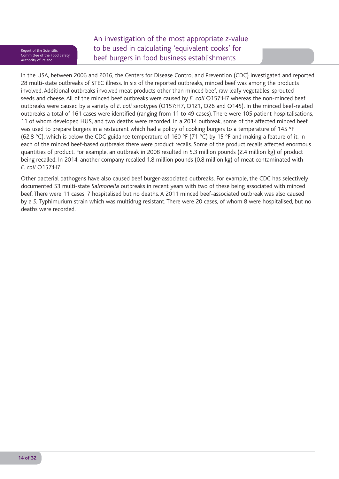#### Report of the Scientific Committee of the Food Safety Authority of Ireland

An investigation of the most appropriate *z*-value to be used in calculating 'equivalent cooks' for beef burgers in food business establishments

In the USA, between 2006 and 2016, the Centers for Disease Control and Prevention (CDC) investigated and reported 28 multi-state outbreaks of STEC illness. In six of the reported outbreaks, minced beef was among the products involved. Additional outbreaks involved meat products other than minced beef, raw leafy vegetables, sprouted seeds and cheese. All of the minced beef outbreaks were caused by *E. coli* O157:H7 whereas the non-minced beef outbreaks were caused by a variety of *E. coli* serotypes (O157:H7, O121, O26 and O145). In the minced beef-related outbreaks a total of 161 cases were identified (ranging from 11 to 49 cases). There were 105 patient hospitalisations, 11 of whom developed HUS, and two deaths were recorded. In a 2014 outbreak, some of the affected minced beef was used to prepare burgers in a restaurant which had a policy of cooking burgers to a temperature of 145 °F (62.8 °C), which is below the CDC guidance temperature of 160 °F (71 °C) by 15 °F and making a feature of it. In each of the minced beef-based outbreaks there were product recalls. Some of the product recalls affected enormous quantities of product. For example, an outbreak in 2008 resulted in 5.3 million pounds (2.4 million kg) of product being recalled. In 2014, another company recalled 1.8 million pounds (0.8 million kg) of meat contaminated with *E. coli* O157:H7.

Other bacterial pathogens have also caused beef burger-associated outbreaks. For example, the CDC has selectively documented 53 multi-state *Salmonella* outbreaks in recent years with two of these being associated with minced beef. There were 11 cases, 7 hospitalised but no deaths. A 2011 minced beef-associated outbreak was also caused by a *S.* Typhimurium strain which was multidrug resistant. There were 20 cases, of whom 8 were hospitalised, but no deaths were recorded.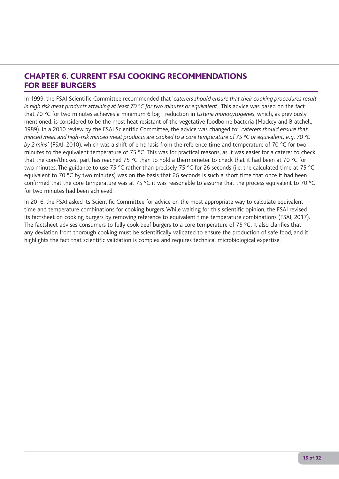## <span id="page-16-0"></span>CHAPTER 6. CURRENT FSAI COOKING RECOMMENDATIONS FOR BEEF BURGERS

In 1999, the FSAI Scientific Committee recommended that '*caterers should ensure that their cooking procedures result in high risk meat products attaining at least 70 °C for two minutes or equivalent*'. This advice was based on the fact that 70 °C for two minutes achieves a minimum 6 log<sub>10</sub> reduction in *Listeria monocytogenes*, which, as previously mentioned, is considered to be the most heat resistant of the vegetative foodborne bacteria (Mackey and Bratchell, 1989). In a 2010 review by the FSAI Scientific Committee, the advice was changed to: *'caterers should ensure that minced meat and high-risk minced meat products are cooked to a core temperature of 75 °C or equivalent, e.g. 70 °C by 2 mins'* (FSAI, 2010), which was a shift of emphasis from the reference time and temperature of 70 °C for two minutes to the equivalent temperature of 75 °C. This was for practical reasons, as it was easier for a caterer to check that the core/thickest part has reached 75 °C than to hold a thermometer to check that it had been at 70 °C for two minutes. The guidance to use 75 °C rather than precisely 75 °C for 26 seconds (i.e. the calculated time at 75 °C equivalent to 70 °C by two minutes) was on the basis that 26 seconds is such a short time that once it had been confirmed that the core temperature was at 75 °C it was reasonable to assume that the process equivalent to 70 °C for two minutes had been achieved.

In 2016, the FSAI asked its Scientific Committee for advice on the most appropriate way to calculate equivalent time and temperature combinations for cooking burgers. While waiting for this scientific opinion, the FSAI revised its factsheet on cooking burgers by removing reference to equivalent time temperature combinations (FSAI, 2017). The factsheet advises consumers to fully cook beef burgers to a core temperature of 75 °C. It also clarifies that any deviation from thorough cooking must be scientifically validated to ensure the production of safe food, and it highlights the fact that scientific validation is complex and requires technical microbiological expertise.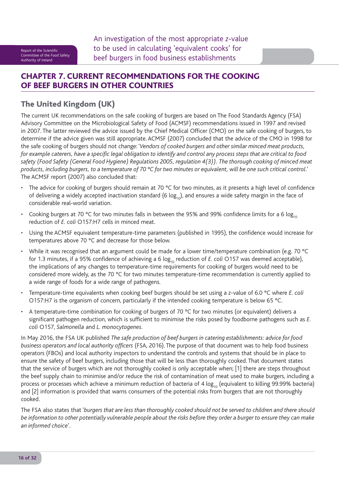An investigation of the most appropriate *z*-value to be used in calculating 'equivalent cooks' for beef burgers in food business establishments

## <span id="page-17-0"></span>CHAPTER 7. CURRENT RECOMMENDATIONS FOR THE COOKING OF BEEF BURGERS IN OTHER COUNTRIES

## The United Kingdom (UK)

The current UK recommendations on the safe cooking of burgers are based on The Food Standards Agency (FSA) Advisory Committee on the Microbiological Safety of Food (ACMSF) recommendations issued in 1997 and revised in 2007. The latter reviewed the advice issued by the Chief Medical Officer (CMO) on the safe cooking of burgers, to determine if the advice given was still appropriate. ACMSF (2007) concluded that the advice of the CMO in 1998 for the safe cooking of burgers should not change: '*Vendors of cooked burgers and other similar minced meat products, for example caterers, have a specific legal obligation to identify and control any process steps that are critical to food safety (Food Safety (General Food Hygiene) Regulations 2005, regulation 4(3)). The thorough cooking of minced meat products, including burgers, to a temperature of 70 °C for two minutes or equivalent, will be one such critical control*.' The ACMSF report (2007) also concluded that:

- The advice for cooking of burgers should remain at 70 °C for two minutes, as it presents a high level of confidence of delivering a widely accepted inactivation standard (6  $log_{10}$ ), and ensures a wide safety margin in the face of considerable real-world variation.
- Cooking burgers at 70 °C for two minutes falls in between the 95% and 99% confidence limits for a 6  $log_{10}$ reduction of *E. coli* O157:H7 cells in minced meat.
- Using the ACMSF equivalent temperature-time parameters (published in 1995), the confidence would increase for temperatures above 70 °C and decrease for those below.
- While it was recognised that an argument could be made for a lower time/temperature combination (e.g. 70 °C for 1.3 minutes, if a 95% confidence of achieving a 6 log<sub>10</sub> reduction of *E. coli* O157 was deemed acceptable), the implications of any changes to temperature-time requirements for cooking of burgers would need to be considered more widely, as the 70 °C for two minutes temperature-time recommendation is currently applied to a wide range of foods for a wide range of pathogens.
- Temperature-time equivalents when cooking beef burgers should be set using a *z-*value of 6.0 °C where *E. coli* O157:H7 is the organism of concern, particularly if the intended cooking temperature is below 65 °C.
- A temperature-time combination for cooking of burgers of 70 °C for two minutes (or equivalent) delivers a significant pathogen reduction, which is sufficient to minimise the risks posed by foodborne pathogens such as *E. coli* O157, *Salmonella* and *L. monocytogenes*.

In May 2016, the FSA UK published *The safe production of beef burgers in catering establishments: advice for food business operators and local authority officers* (FSA, 2016). The purpose of that document was to help food business operators (FBOs) and local authority inspectors to understand the controls and systems that should be in place to ensure the safety of beef burgers, including those that will be less than thoroughly cooked. That document states that the service of burgers which are not thoroughly cooked is only acceptable when; [1] there are steps throughout the beef supply chain to minimise and/or reduce the risk of contamination of meat used to make burgers, including a process or processes which achieve a minimum reduction of bacteria of 4  $log_{10}$  (equivalent to killing 99.99% bacteria) and [2] information is provided that warns consumers of the potential risks from burgers that are not thoroughly cooked.

The FSA also states that '*burgers that are less than thoroughly cooked should not be served to children and there should be information to other potentially vulnerable people about the risks before they order a burger to ensure they can make an informed choice*'.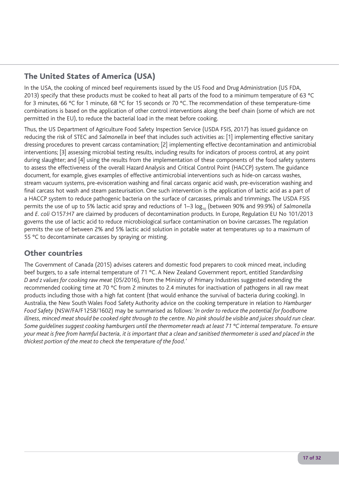## The United States of America (USA)

In the USA, the cooking of minced beef requirements issued by the US Food and Drug Administration (US FDA, 2013) specify that these products must be cooked to heat all parts of the food to a minimum temperature of 63 °C for 3 minutes, 66 °C for 1 minute, 68 °C for 15 seconds or 70 °C. The recommendation of these temperature-time combinations is based on the application of other control interventions along the beef chain (some of which are not permitted in the EU), to reduce the bacterial load in the meat before cooking.

Thus, the US Department of Agriculture Food Safety Inspection Service (USDA FSIS, 2017) has issued guidance on reducing the risk of STEC and *Salmonella* in beef that includes such activities as: [1] implementing effective sanitary dressing procedures to prevent carcass contamination; [2] implementing effective decontamination and antimicrobial interventions; [3] assessing microbial testing results, including results for indicators of process control, at any point during slaughter; and [4] using the results from the implementation of these components of the food safety systems to assess the effectiveness of the overall Hazard Analysis and Critical Control Point (HACCP) system. The guidance document, for example, gives examples of effective antimicrobial interventions such as hide-on carcass washes, stream vacuum systems, pre-evisceration washing and final carcass organic acid wash, pre-evisceration washing and final carcass hot wash and steam pasteurisation. One such intervention is the application of lactic acid as a part of a HACCP system to reduce pathogenic bacteria on the surface of carcasses, primals and trimmings. The USDA FSIS permits the use of up to 5% lactic acid spray and reductions of 1–3 log<sub>10</sub> (between 90% and 99.9%) of *Salmonella* and *E. coli* O157:H7 are claimed by producers of decontamination products. In Europe, Regulation EU No 101/2013 governs the use of lactic acid to reduce microbiological surface contamination on bovine carcasses. The regulation permits the use of between 2% and 5% lactic acid solution in potable water at temperatures up to a maximum of 55 °C to decontaminate carcasses by spraying or misting.

## Other countries

The Government of Canada (2015) advises caterers and domestic food preparers to cook minced meat, including beef burgers, to a safe internal temperature of 71 °C. A New Zealand Government report, entitled *Standardising D and z values for cooking raw meat* (05/2016), from the Ministry of Primary Industries suggested extending the recommended cooking time at 70 °C from 2 minutes to 2.4 minutes for inactivation of pathogens in all raw meat products including those with a high fat content (that would enhance the survival of bacteria during cooking). In Australia, the New South Wales Food Safety Authority advice on the cooking temperature in relation to *Hamburger Food Safety* (NSW/FA/F1258/1602) may be summarised as follows: '*In order to reduce the potential for foodborne illness, minced meat should be cooked right through to the centre. No pink should be visible and juices should run clear. Some guidelines suggest cooking hamburgers until the thermometer reads at least 71 °C internal temperature. To ensure your meat is free from harmful bacteria, it is important that a clean and sanitised thermometer is used and placed in the thickest portion of the meat to check the temperature of the food.*'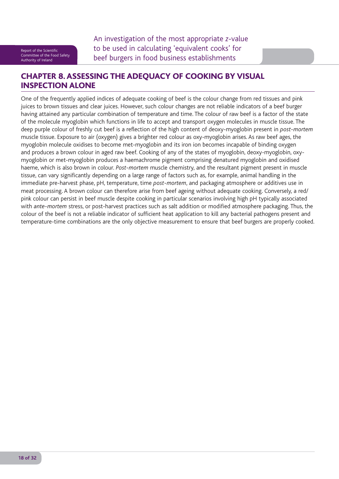<span id="page-19-0"></span>Report of the Scientific Committee of the Food Safety Authority of Ireland

An investigation of the most appropriate *z*-value to be used in calculating 'equivalent cooks' for beef burgers in food business establishments

## CHAPTER 8.ASSESSING THE ADEQUACY OF COOKING BY VISUAL INSPECTION ALONE

One of the frequently applied indices of adequate cooking of beef is the colour change from red tissues and pink juices to brown tissues and clear juices. However, such colour changes are not reliable indicators of a beef burger having attained any particular combination of temperature and time. The colour of raw beef is a factor of the state of the molecule myoglobin which functions in life to accept and transport oxygen molecules in muscle tissue. The deep purple colour of freshly cut beef is a reflection of the high content of deoxy-myoglobin present in *post-mortem*  muscle tissue. Exposure to air (oxygen) gives a brighter red colour as oxy-myoglobin arises. As raw beef ages, the myoglobin molecule oxidises to become met-myoglobin and its iron ion becomes incapable of binding oxygen and produces a brown colour in aged raw beef. Cooking of any of the states of myoglobin, deoxy-myoglobin, oxymyoglobin or met-myoglobin produces a haemachrome pigment comprising denatured myoglobin and oxidised haeme, which is also brown in colour. *Post-mortem* muscle chemistry, and the resultant pigment present in muscle tissue, can vary significantly depending on a large range of factors such as, for example, animal handling in the immediate pre-harvest phase, pH, temperature, time *post-mortem*, and packaging atmosphere or additives use in meat processing. A brown colour can therefore arise from beef ageing without adequate cooking. Conversely, a red/ pink colour can persist in beef muscle despite cooking in particular scenarios involving high pH typically associated with *ante-mortem* stress, or post-harvest practices such as salt addition or modified atmosphere packaging. Thus, the colour of the beef is not a reliable indicator of sufficient heat application to kill any bacterial pathogens present and temperature-time combinations are the only objective measurement to ensure that beef burgers are properly cooked.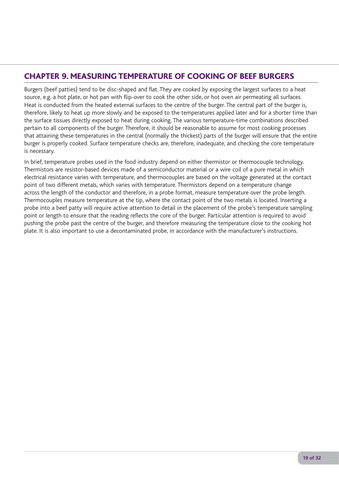## <span id="page-20-0"></span>CHAPTER 9. MEASURING TEMPERATURE OF COOKING OF BEEF BURGERS

Burgers (beef patties) tend to be disc-shaped and flat. They are cooked by exposing the largest surfaces to a heat source, e.g. a hot plate, or hot pan with flip-over to cook the other side, or hot oven air permeating all surfaces. Heat is conducted from the heated external surfaces to the centre of the burger. The central part of the burger is, therefore, likely to heat up more slowly and be exposed to the temperatures applied later and for a shorter time than the surface tissues directly exposed to heat during cooking. The various temperature-time combinations described pertain to all components of the burger. Therefore, it should be reasonable to assume for most cooking processes that attaining these temperatures in the central (normally the thickest) parts of the burger will ensure that the entire burger is properly cooked. Surface temperature checks are, therefore, inadequate, and checking the core temperature is necessary.

In brief, temperature probes used in the food industry depend on either thermistor or thermocouple technology. Thermistors are resistor-based devices made of a semiconductor material or a wire coil of a pure metal in which electrical resistance varies with temperature, and thermocouples are based on the voltage generated at the contact point of two different metals, which varies with temperature. Thermistors depend on a temperature change across the length of the conductor and therefore, in a probe format, measure temperature over the probe length. Thermocouples measure temperature at the tip, where the contact point of the two metals is located. Inserting a probe into a beef patty will require active attention to detail in the placement of the probe's temperature sampling point or length to ensure that the reading reflects the core of the burger. Particular attention is required to avoid pushing the probe past the centre of the burger, and therefore measuring the temperature close to the cooking hot plate. It is also important to use a decontaminated probe, in accordance with the manufacturer's instructions.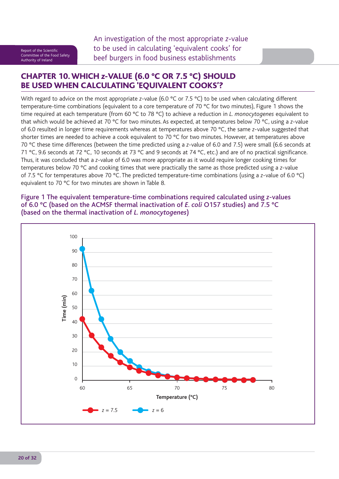<span id="page-21-0"></span>Report of the Scientific Committee of the Food Safety Authority of Ireland

An investigation of the most appropriate *z*-value to be used in calculating 'equivalent cooks' for beef burgers in food business establishments

## CHAPTER 10.WHICH *z-*VALUE (6.0 °C OR 7.5 °C) SHOULD BE USED WHEN CALCULATING 'EQUIVALENT COOKS'?

With regard to advice on the most appropriate *z*-value (6.0 °C or 7.5 °C) to be used when calculating different temperature-time combinations (equivalent to a core temperature of 70 °C for two minutes), Figure 1 shows the time required at each temperature (from 60 °C to 78 °C) to achieve a reduction in *L. monocytogenes* equivalent to that which would be achieved at 70 °C for two minutes. As expected, at temperatures below 70 °C, using a *z-*value of 6.0 resulted in longer time requirements whereas at temperatures above 70 °C, the same *z-*value suggested that shorter times are needed to achieve a cook equivalent to 70 °C for two minutes. However, at temperatures above 70 °C these time differences (between the time predicted using a *z-*value of 6.0 and 7.5) were small (6.6 seconds at 71 °C, 9.6 seconds at 72 °C, 10 seconds at 73 °C and 9 seconds at 74 °C, etc.) and are of no practical significance. Thus, it was concluded that a *z-*value of 6.0 was more appropriate as it would require longer cooking times for temperatures below 70 °C and cooking times that were practically the same as those predicted using a *z-*value of 7.5 °C for temperatures above 70 °C. The predicted temperature-time combinations (using a *z-*value of 6.0 °C) equivalent to 70 °C for two minutes are shown in Table 8.

#### Figure 1 The equivalent temperature-time combinations required calculated using *z-*values of 6.0 °C (based on the ACMSF thermal inactivation of *E. coli* O157 studies) and 7.5 °C (based on the thermal inactivation of *L. monocytogenes*)

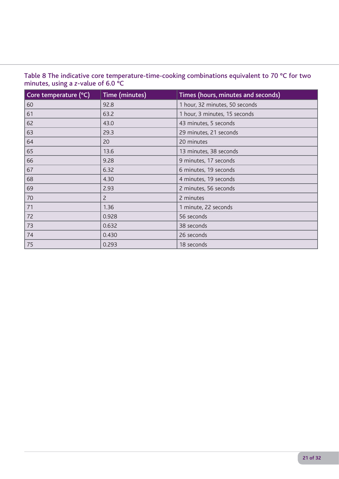| Core temperature (°C) | Time (minutes) | Times (hours, minutes and seconds) |
|-----------------------|----------------|------------------------------------|
| 60                    | 92.8           | 1 hour, 32 minutes, 50 seconds     |
| 61                    | 63.2           | 1 hour, 3 minutes, 15 seconds      |
| 62                    | 43.0           | 43 minutes, 5 seconds              |
| 63                    | 29.3           | 29 minutes, 21 seconds             |
| 64                    | 20             | 20 minutes                         |
| 65                    | 13.6           | 13 minutes, 38 seconds             |
| 66                    | 9.28           | 9 minutes, 17 seconds              |
| 67                    | 6.32           | 6 minutes, 19 seconds              |
| 68                    | 4.30           | 4 minutes, 19 seconds              |
| 69                    | 2.93           | 2 minutes, 56 seconds              |
| 70                    | $\overline{c}$ | 2 minutes                          |
| 71                    | 1.36           | 1 minute, 22 seconds               |
| 72                    | 0.928          | 56 seconds                         |
| 73                    | 0.632          | 38 seconds                         |
| 74                    | 0.430          | 26 seconds                         |
| 75                    | 0.293          | 18 seconds                         |

#### Table 8 The indicative core temperature-time-cooking combinations equivalent to 70 °C for two minutes, using a *z-*value of 6.0 °C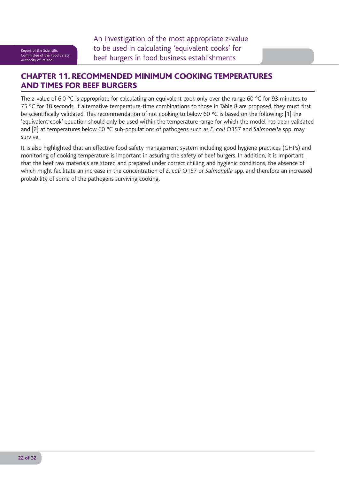<span id="page-23-0"></span>Report of the Scientific Committee of the Food Safety Authority of Ireland

An investigation of the most appropriate *z*-value to be used in calculating 'equivalent cooks' for beef burgers in food business establishments

## CHAPTER 11. RECOMMENDED MINIMUM COOKING TEMPERATURES AND TIMES FOR BEEF BURGERS

The *z-*value of 6.0 °C is appropriate for calculating an equivalent cook only over the range 60 °C for 93 minutes to 75 °C for 18 seconds. If alternative temperature-time combinations to those in Table 8 are proposed, they must first be scientifically validated. This recommendation of not cooking to below 60 °C is based on the following: [1] the 'equivalent cook' equation should only be used within the temperature range for which the model has been validated and [2] at temperatures below 60 °C sub-populations of pathogens such as *E. coli* O157 and *Salmonella* spp. may survive.

It is also highlighted that an effective food safety management system including good hygiene practices (GHPs) and monitoring of cooking temperature is important in assuring the safety of beef burgers. In addition, it is important that the beef raw materials are stored and prepared under correct chilling and hygienic conditions, the absence of which might facilitate an increase in the concentration of *E. coli* O157 or *Salmonella* spp. and therefore an increased probability of some of the pathogens surviving cooking.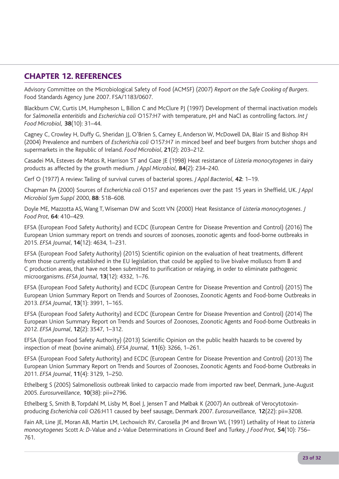## <span id="page-24-0"></span>CHAPTER 12. REFERENCES

Advisory Committee on the Microbiological Safety of Food (ACMSF) (2007) *Report on the Safe Cooking of Burgers*. Food Standards Agency June 2007. FSA/1183/0607.

Blackburn CW, Curtis LM, Humpheson L, Billon C and McClure PJ (1997) Development of thermal inactivation models for *Salmonella enteritidis* and *Escherichia coli* O157:H7 with temperature, pH and NaCl as controlling factors. *Int J Food Microbiol,* **38**(10): 31–44.

Cagney C, Crowley H, Duffy G, Sheridan JJ, O'Brien S, Carney E, Anderson W, McDowell DA, Blair IS and Bishop RH (2004) Prevalence and numbers of *Escherichia coli* O157:H7 in minced beef and beef burgers from butcher shops and supermarkets in the Republic of Ireland. *Food Microbiol*, **21**(2): 203–212.

Casadei MA, Esteves de Matos R, Harrison ST and Gaze JE (1998) Heat resistance of *Listeria monocytogenes* in dairy products as affected by the growth medium. *J Appl Microbiol,* **84**(2): 234–240.

Cerf O (1977) A review: Tailing of survival curves of bacterial spores. *J Appl Bacteriol,* **42**: 1–19.

Chapman PA (2000) Sources of *Escherichia coli* O157 and experiences over the past 15 years in Sheffield, UK. *J Appl Microbiol Sym Suppl* 2000, **88**: 518–608.

Doyle ME, Mazzotta AS, Wang T, Wiseman DW and Scott VN (2000) Heat Resistance of *Listeria monocytogenes. J Food Prot,* **64**: 410–429.

EFSA (European Food Safety Authority) and ECDC (European Centre for Disease Prevention and Control) (2016) The European Union summary report on trends and sources of zoonoses, zoonotic agents and food-borne outbreaks in 2015. *EFSA Journal*, **14**(12): 4634, 1–231.

EFSA (European Food Safety Authority) (2015) Scientific opinion on the evaluation of heat treatments, different from those currently established in the EU legislation, that could be applied to live bivalve molluscs from B and C production areas, that have not been submitted to purification or relaying, in order to eliminate pathogenic microorganisms. *EFSA Journal*, **13**(12): 4332, 1–76.

EFSA (European Food Safety Authority) and ECDC (European Centre for Disease Prevention and Control) (2015) The European Union Summary Report on Trends and Sources of Zoonoses, Zoonotic Agents and Food-borne Outbreaks in 2013. *EFSA Journal*, **13**(1): 3991, 1–165.

EFSA (European Food Safety Authority) and ECDC (European Centre for Disease Prevention and Control) (2014) The European Union Summary Report on Trends and Sources of Zoonoses, Zoonotic Agents and Food-borne Outbreaks in 2012. *EFSA Journal*, **12**(2): 3547, 1–312.

EFSA (European Food Safety Authority) (2013) Scientific Opinion on the public health hazards to be covered by inspection of meat (bovine animals). *EFSA Journal,* **11**(6): 3266, 1–261.

EFSA (European Food Safety Authority) and ECDC (European Centre for Disease Prevention and Control) (2013) The European Union Summary Report on Trends and Sources of Zoonoses, Zoonotic Agents and Food-borne Outbreaks in 2011. *EFSA Journal*, **11**(4): 3129, 1–250.

Ethelberg S (2005) Salmonellosis outbreak linked to carpaccio made from imported raw beef, Denmark, June-August 2005. *Eurosurveillance,* **10**(38): pii=2796.

Ethelberg S, Smith B, Torpdahl M, Lisby M, Boel J, Jensen T and Mølbak K (2007) An outbreak of Verocytotoxinproducing *Escherichia coli* O26:H11 caused by beef sausage, Denmark 2007. *Eurosurveillance,* **12**(22): pii=3208.

Fain AR, Line JE, Moran AB, Martin LM, Lechowich RV, Carosella JM and Brown WL (1991) Lethality of Heat to *Listeria monocytogenes* Scott A: *D*-Value and *z-*Value Determinations in Ground Beef and Turkey. *J Food Prot,* **54**(10): 756– 761.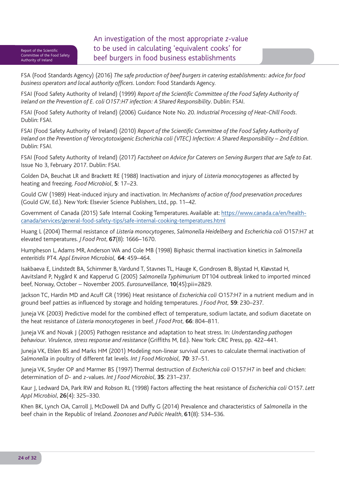#### Report of the Scientific Committee of the Food Safety Authority of Ireland

FSA (Food Standards Agency) (2016) *The safe production of beef burgers in catering establishments: advice for food business operators and local authority officers*. London: Food Standards Agency.

FSAI (Food Safety Authority of Ireland) (1999) *Report of the Scientific Committee of the Food Safety Authority of Ireland on the Prevention of E. coli O157:H7 infection: A Shared Responsibility*. Dublin: FSAI.

FSAI (Food Safety Authority of Ireland) (2006) Guidance Note No. 20. *Industrial Processing of Heat-Chill Foods*. Dublin: FSAI.

FSAI (Food Safety Authority of Ireland) (2010) *Report of the Scientific Committee of the Food Safety Authority of Ireland on the Prevention of Verocytotoxigenic Escherichia coli (VTEC) Infection: A Shared Responsibility – 2nd Edition*. Dublin: FSAI.

FSAI (Food Safety Authority of Ireland) (2017) *Factsheet on Advice for Caterers on Serving Burgers that are Safe to Eat*. Issue No 3, February 2017. Dublin: FSAI.

Golden DA, Beuchat LR and Brackett RE (1988) Inactivation and injury of *Listeria monocytogenes* as affected by heating and freezing. *Food Microbiol*, **5**: 17–23.

Gould GW (1989) Heat-induced injury and inactivation. In: *Mechanisms of action of food preservation procedures* (Gould GW, Ed.). New York: Elsevier Science Publishers, Ltd., pp. 11–42.

Government of Canada (2015) Safe Internal Cooking Temperatures. Available at: [https://www.canada.ca/en/health](https://www.canada.ca/en/health-canada/services/general-food-safety-tips/safe-internal-cooking-temperatures.html)[canada/services/general-food-safety-tips/safe-internal-cooking-temperatures.html](https://www.canada.ca/en/health-canada/services/general-food-safety-tips/safe-internal-cooking-temperatures.html)

Huang L (2004) Thermal resistance of *Listeria monocytogenes*, *Salmonella Heidelberg* and *Escherichia coli* O157:H7 at elevated temperatures. *J Food Prot*, **67**(8): 1666–1670.

Humpheson L, Adams MR, Anderson WA and Cole MB (1998) Biphasic thermal inactivation kinetics in *Salmonella enteritidis* PT4. *Appl Environ Microbiol,* **64**: 459–464.

Isakbaeva E, Lindstedt BA, Schimmer B, Vardund T, Stavnes TL, Hauge K, Gondrosen B, Blystad H, Kløvstad H, Aavitsland P, Nygård K and Kapperud G (2005) *Salmonella Typhimurium* DT104 outbreak linked to imported minced beef, Norway, October – November 2005. *Eurosurveillance*, **10**(45):pii=2829.

Jackson TC, Hardin MD and Acuff GR (1996) Heat resistance of *Escherichia coli* O157:H7 in a nutrient medium and in ground beef patties as influenced by storage and holding temperatures*. J Food Prot,* **59**: 230–237.

Juneja VK (2003) Predictive model for the combined effect of temperature, sodium lactate, and sodium diacetate on the heat resistance of *Listeria monocytogenes* in beef. *J Food Prot,* **66**: 804–811.

Juneja VK and Novak J (2005) Pathogen resistance and adaptation to heat stress. In: *Understanding pathogen behaviour. Virulence, stress response and resistance* (Griffiths M, Ed.). New York: CRC Press, pp. 422–441.

Juneja VK, Eblen BS and Marks HM (2001) Modeling non-linear survival curves to calculate thermal inactivation of *Salmonella* in poultry of different fat levels. *Int J Food Microbiol,* **70**: 37–51.

Juneja VK, Snyder OP and Marmer BS (1997) Thermal destruction of *Escherichia coli* O157:H7 in beef and chicken: determination of *D*- and *z-*values. *Int J Food Microbiol*, **35**: 231–237.

Kaur J, Ledward DA, Park RW and Robson RL (1998) Factors affecting the heat resistance of *Escherichia coli* O157. *Lett Appl Microbiol*, **26**(4): 325–330.

Khen BK, Lynch OA, Carroll J, McDowell DA and Duffy G (2014) Prevalence and characteristics of *Salmonella* in the beef chain in the Republic of Ireland. *Zoonoses and Public Health*, **61**(8): 534–536.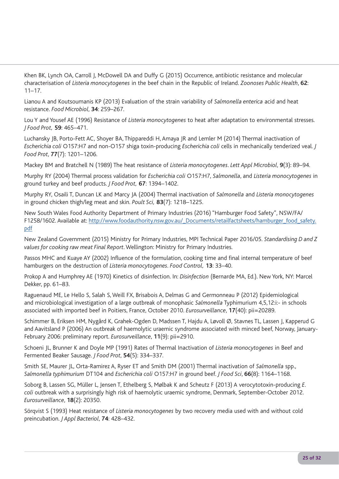Khen BK, Lynch OA, Carroll J, McDowell DA and Duffy G (2015) Occurrence, antibiotic resistance and molecular characterisation of *Listeria monocytogenes* in the beef chain in the Republic of Ireland. *Zoonoses Public Health*, **62**: 11–17.

Lianou A and Koutsoumanis KP (2013) Evaluation of the strain variability of *Salmonella enterica* acid and heat resistance. *Food Microbiol*, **34**: 259–267.

Lou Y and Yousef AE (1996) Resistance of *Listeria monocytogenes* to heat after adaptation to environmental stresses. *J Food Prot,* **59**: 465–471.

Luchansky JB, Porto-Fett AC, Shoyer BA, Thippareddi H, Amaya JR and Lemler M (2014) Thermal inactivation of *Escherichia coli* O157:H7 and non-O157 shiga toxin-producing *Escherichia coli* cells in mechanically tenderized veal. *J Food Prot*, **77**(7): 1201–1206.

Mackey BM and Bratchell N (1989) The heat resistance of *Listeria monocytogenes*. *Lett Appl Microbiol*, **9**(3): 89–94.

Murphy RY (2004) Thermal process validation for *Escherichia coli* O157:H7, *Salmonella*, and *Listeria monocytogenes* in ground turkey and beef products. *J Food Prot,* **67**: 1394–1402.

Murphy RY, Osaili T, Duncan LK and Marcy JA (2004) Thermal inactivation of *Salmonella* and *Listeria monocytogenes* in ground chicken thigh/leg meat and skin. *Poult Sci,* **83**(7): 1218–1225.

New South Wales Food Authority Department of Primary Industries (2016) "Hamburger Food Safety", NSW/FA/ F1258/1602. Available at: [http://www.foodauthority.nsw.gov.au/\\_Documents/retailfactsheets/hamburger\\_food\\_safety.](http://www.foodauthority.nsw.gov.au/_Documents/retailfactsheets/hamburger_food_safety.pdf) [pdf](http://www.foodauthority.nsw.gov.au/_Documents/retailfactsheets/hamburger_food_safety.pdf)

New Zealand Government (2015) Ministry for Primary Industries, MPI Technical Paper 2016/05. *Standardising D and Z values for cooking raw meat Final Report*. Wellington: Ministry for Primary Industries.

Passos MHC and Kuaye AY (2002) Influence of the formulation, cooking time and final internal temperature of beef hamburgers on the destruction of *Listeria monocytogenes*. *Food Control,* **13**: 33–40.

Prokop A and Humphrey AE (1970) Kinetics of disinfection. In: *Disinfection* (Bernarde MA, Ed.). New York, NY: Marcel Dekker, pp. 61–83.

Raguenaud ME, Le Hello S, Salah S, Weill FX, Brisabois A, Delmas G and Germonneau P (2012) Epidemiological and microbiological investigation of a large outbreak of monophasic *Salmonella* Typhimurium 4,5,12:i:- in schools associated with imported beef in Poitiers, France, October 2010. *Eurosurveillance*, **17**(40): pii=20289.

Schimmer B, Eriksen HM, Nygård K, Grahek-Ogden D, Madssen T, Hajdu A, Løvoll Ø, Stavnes TL, Lassen J, Kapperud G and Aavitsland P (2006) An outbreak of haemolytic uraemic syndrome associated with minced beef, Norway, January-February 2006: preliminary report. *Eurosurveillance*, **11**(9): pii=2910.

Schoeni JL, Brunner K and Doyle MP (1991) Rates of Thermal Inactivation of *Listeria monocytogenes* in Beef and Fermented Beaker Sausage. *J Food Prot*, **54**(5): 334–337.

Smith SE, Maurer JL, Orta-Ramirez A, Ryser ET and Smith DM (2001) Thermal inactivation of *Salmonella* spp., *Salmonella typhimurium* DT104 and *Escherichia coli* O157:H7 in ground beef. *J Food Sci*, **66**(8): 1164–1168.

Soborg B, Lassen SG, Müller L, Jensen T, Ethelberg S, Mølbak K and Scheutz F (2013) A verocytotoxin-producing *E. coli* outbreak with a surprisingly high risk of haemolytic uraemic syndrome, Denmark, September-October 2012. *Eurosurveillance*, **18**(2): 20350.

Sörqvist S (1993) Heat resistance of *Listeria monocytogenes* by two recovery media used with and without cold preincubation. *J Appl Bacteriol*, **74**: 428–432.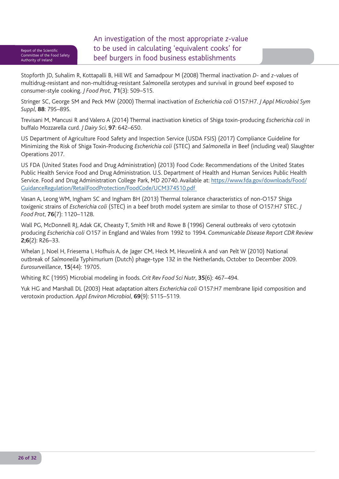#### Report of the Scientific Committee of the Food Safety Authority of Ireland

An investigation of the most appropriate *z*-value to be used in calculating 'equivalent cooks' for beef burgers in food business establishments

Stopforth JD, Suhalim R, Kottapalli B, Hill WE and Samadpour M (2008) Thermal inactivation *D*- and *z-*values of multidrug-resistant and non-multidrug-resistant *Salmonella* serotypes and survival in ground beef exposed to consumer-style cooking. *J Food Prot,* **71**(3): 509–515.

Stringer SC, George SM and Peck MW (2000) Thermal inactivation of *Escherichia coli* O157:H7. *J Appl Microbiol Sym Suppl*, **88**: 79S–89S.

Trevisani M, Mancusi R and Valero A (2014) Thermal inactivation kinetics of Shiga toxin-producing *Escherichia coli* in buffalo Mozzarella curd. *J Dairy Sci*, **97**: 642–650.

US Department of Agriculture Food Safety and Inspection Service (USDA FSIS) (2017) Compliance Guideline for Minimizing the Risk of Shiga Toxin-Producing *Escherichia coli* (STEC) and *Salmonella* in Beef (including veal) Slaughter Operations 2017.

US FDA (United States Food and Drug Administration) (2013) Food Code: Recommendations of the United States Public Health Service Food and Drug Administration. U.S. Department of Health and Human Services Public Health Service. Food and Drug Administration College Park, MD 20740. Available at: [https://www.fda.gov/downloads/Food/](https://www.fda.gov/downloads/Food/GuidanceRegulation/RetailFoodProtection/FoodCode/UCM374510.pdf ) [GuidanceRegulation/RetailFoodProtection/FoodCode/UCM374510.pdf](https://www.fda.gov/downloads/Food/GuidanceRegulation/RetailFoodProtection/FoodCode/UCM374510.pdf ) 

Vasan A, Leong WM, Ingham SC and Ingham BH (2013) Thermal tolerance characteristics of non-O157 Shiga toxigenic strains of *Escherichia coli* (STEC) in a beef broth model system are similar to those of O157:H7 STEC. *J Food Prot*, **76**(7): 1120–1128.

Wall PG, McDonnell RJ, Adak GK, Cheasty T, Smith HR and Rowe B (1996) General outbreaks of vero cytotoxin producing *Escherichia coli* O157 in England and Wales from 1992 to 1994. *Communicable Disease Report CDR Review* **2;6**(2): R26–33.

Whelan J, Noel H, Friesema I, Hofhuis A, de Jager CM, Heck M, Heuvelink A and van Pelt W (2010) National outbreak of *Salmonella* Typhimurium (Dutch) phage-type 132 in the Netherlands, October to December 2009. *Eurosurveillance*, **15**(44): 19705.

Whiting RC (1995) Microbial modeling in foods. *Crit Rev Food Sci Nutr*, **35**(6): 467–494.

Yuk HG and Marshall DL (2003) Heat adaptation alters *Escherichia coli* O157:H7 membrane lipid composition and verotoxin production. *Appl Environ Microbiol*, **69**(9): 5115–5119.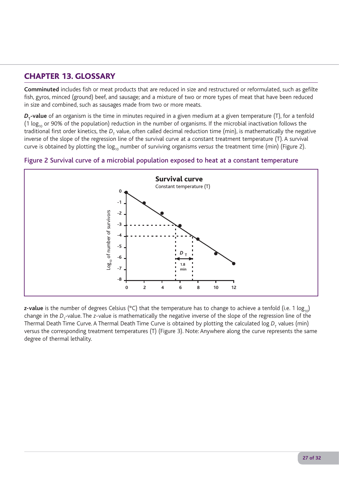## <span id="page-28-0"></span>CHAPTER 13. GLOSSARY

**Comminuted** includes fish or meat products that are reduced in size and restructured or reformulated, such as gefilte fish, gyros, minced (ground) beef, and sausage; and a mixture of two or more types of meat that have been reduced in size and combined, such as sausages made from two or more meats.

*D***T -value** of an organism is the time in minutes required in a given medium at a given temperature (T), for a tenfold (1 log<sub>10</sub> or 90% of the population) reduction in the number of organisms. If the microbial inactivation follows the traditional first order kinetics, the  $D_{_{\sf T}}$  value, often called decimal reduction time (min), is mathematically the negative inverse of the slope of the regression line of the survival curve at a constant treatment temperature (T). A survival curve is obtained by plotting the log<sub>10</sub> number of surviving organisms *versus* the treatment time (min) (Figure 2).



Figure 2 Survival curve of a microbial population exposed to heat at a constant temperature

**z-value** is the number of degrees Celsius (°C) that the temperature has to change to achieve a tenfold (i.e. 1 log<sub>10</sub>) change in the D<sub>r</sub>-value. The z-value is mathematically the negative inverse of the slope of the regression line of the Thermal Death Time Curve. A Thermal Death Time Curve is obtained by plotting the calculated log  $D_{_{\rm T}}$  values (min) versus the corresponding treatment temperatures (T) (Figure 3). Note: Anywhere along the curve represents the same degree of thermal lethality.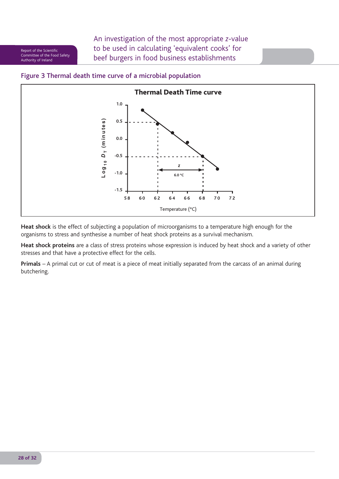Report of the Scientific Committee of the Food Safety Authority of Ireland

An investigation of the most appropriate *z*-value to be used in calculating 'equivalent cooks' for beef burgers in food business establishments



Figure 3 Thermal death time curve of a microbial population

**Heat shock** is the effect of subjecting a population of microorganisms to a temperature high enough for the organisms to stress and synthesise a number of heat shock proteins as a survival mechanism.

**Heat shock proteins** are a class of stress proteins whose expression is induced by heat shock and a variety of other stresses and that have a protective effect for the cells.

**Primals** – A primal cut or cut of meat is a piece of meat initially separated from the carcass of an animal during butchering.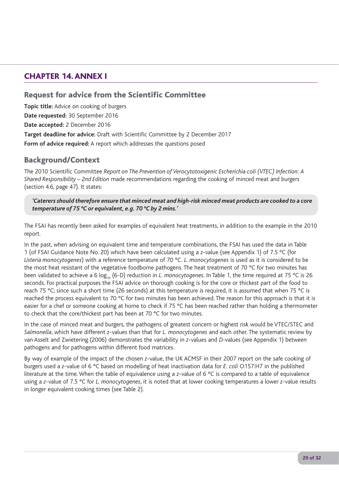## <span id="page-30-0"></span>CHAPTER 14.ANNEX I

#### Request for advice from the Scientific Committee

**Topic title:** Advice on cooking of burgers **Date requested:** 30 September 2016 **Date accepted:** 2 December 2016 **Target deadline for advice:** Draft with Scientific Committee by 2 December 2017 **Form of advice required:** A report which addresses the questions posed

#### Background/Context

The 2010 Scientific Committee *Report on The Prevention of Verocytotoxigenic Escherichia coli (VTEC) Infection: A Shared Responsibility – 2nd Edition* made recommendations regarding the cooking of minced meat and burgers (section 4.6, page 47). It states:

*'Caterers should therefore ensure that minced meat and high-risk minced meat products are cooked to a core temperature of 75 °C or equivalent, e.g. 70 °C by 2 mins.'*

The FSAI has recently been asked for examples of equivalent heat treatments, in addition to the example in the 2010 report.

In the past, when advising on equivalent time and temperature combinations, the FSAI has used the data in Table 1 (of FSAI Guidance Note No. 20) which have been calculated using a *z-*value (see Appendix 1) of 7.5 °C (for *Listeria monocytogenes*) with a reference temperature of 70 °C. *L. monocytogenes* is used as it is considered to be the most heat resistant of the vegetative foodborne pathogens. The heat treatment of 70 °C for two minutes has been validated to achieve a 6 log<sub>10</sub> (6-D) reduction in *L. monocytogenes*. In Table 1, the time required at 75 °C is 26 seconds. For practical purposes the FSAI advice on thorough cooking is for the core or thickest part of the food to reach 75 °C; since such a short time (26 seconds) at this temperature is required, it is assumed that when 75 °C is reached the process equivalent to 70 °C for two minutes has been achieved. The reason for this approach is that it is easier for a chef or someone cooking at home to check if 75 °C has been reached rather than holding a thermometer to check that the core/thickest part has been at 70 °C for two minutes.

In the case of minced meat and burgers, the pathogens of greatest concern or highest risk would be VTEC/STEC and *Salmonella*, which have different *z-*values than that for *L. monocytogenes* and each other. The systematic review by van Asselt and Zwietering (2006) demonstrates the variability in *z-*values and *D*-values (see Appendix 1) between pathogens and for pathogens within different food matrices.

By way of example of the impact of the chosen *z-*value, the UK ACMSF in their 2007 report on the safe cooking of burgers used a *z-*value of 6 °C based on modelling of heat inactivation data for *E. coli* O157:H7 in the published literature at the time. When the table of equivalence using a *z-*value of 6 °C is compared to a table of equivalence using a *z-*value of 7.5 °C for *L. monocytogenes*, it is noted that at lower cooking temperatures a lower *z-*value results in longer equivalent cooking times (see Table 2).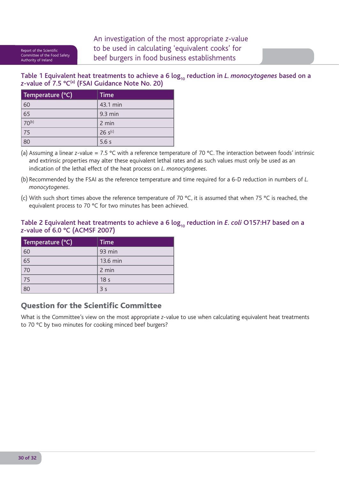#### <span id="page-31-0"></span>Table 1 Equivalent heat treatments to achieve a 6 log<sub>10</sub> reduction in *L. monocytogenes* based on a *z-*value of 7.5 °C(a) (FSAI Guidance Note No. 20)

| Temperature (°C)  | <b>Time</b>  |
|-------------------|--------------|
| 60                | 43.1 min     |
| 65                | 9.3 min      |
| 70 <sup>(b)</sup> | 2 min        |
| 75                | $26 s^{(c)}$ |
| 80                | 5.6s         |

- (a) Assuming a linear *z-*value = 7.5 °C with a reference temperature of 70 °C. The interaction between foods' intrinsic and extrinsic properties may alter these equivalent lethal rates and as such values must only be used as an indication of the lethal effect of the heat process on *L. monocytogenes*.
- (b) Recommended by the FSAI as the reference temperature and time required for a 6-D reduction in numbers of *L. monocytogenes*.
- (c) With such short times above the reference temperature of 70 °C, it is assumed that when 75 °C is reached, the equivalent process to 70 °C for two minutes has been achieved.

#### Table 2 Equivalent heat treatments to achieve a 6 log<sub>10</sub> reduction in *E. coli* O157:H7 based on a *z-*value of 6.0 °C (ACMSF 2007)

| Temperature (°C) | <b>Time</b>     |
|------------------|-----------------|
| 60               | 93 min          |
| 65               | 13.6 min        |
| 70               | 2 min           |
| 75               | 18 <sub>s</sub> |
|                  | 3 <sub>s</sub>  |

### Question for the Scientific Committee

What is the Committee's view on the most appropriate *z-*value to use when calculating equivalent heat treatments to 70 °C by two minutes for cooking minced beef burgers?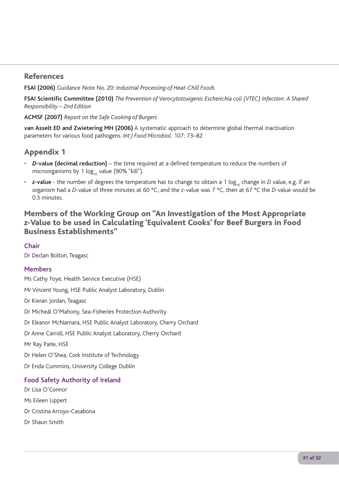#### <span id="page-32-0"></span>References

**FSAI (2006)** Guidance Note No. 20: *Industrial Processing of Heat-Chill Foods*

**FSAI Scientific Committee (2010)** *The Prevention of Verocytotoxigenic Escherichia coli (VTEC) Infection: A Shared Responsibility – 2nd Edition*

**ACMSF (2007)** *Report on the Safe Cooking of Burgers*

**van Asselt ED and Zwietering MH (2006)** A systematic approach to determine global thermal inactivation parameters for various food pathogens. *Int J Food Microbiol.* 107: 73–82

## Appendix 1

- *D***-value (decimal reduction)** the time required at a defined temperature to reduce the numbers of microorganisms by 1  $log_{10}$  value (90% "kill").
- **z-value** the number of degrees the temperature has to change to obtain a 1 log<sub>10</sub> change in *D* value, e.g. if an organism had a *D*-value of three minutes at 60 °C, and the *z-*value was 7 °C, then at 67 °C the *D*-value would be 0.3 minutes.

### Members of the Working Group on "An Investigation of the Most Appropriate *z-*Value to be used in Calculating 'Equivalent Cooks' for Beef Burgers in Food Business Establishments"

#### Chair

Dr Declan Bolton, Teagasc

#### Members

Ms Cathy Foye, Health Service Executive (HSE) Mr Vincent Young, HSE Public Analyst Laboratory, Dublin Dr Kieran Jordan, Teagasc Dr Micheál O'Mahony, Sea-Fisheries Protection Authority Dr Eleanor McNamara, HSE Public Analyst Laboratory, Cherry Orchard Dr Anne Carroll, HSE Public Analyst Laboratory, Cherry Orchard Mr Ray Parle, HSE Dr Helen O'Shea, Cork Institute of Technology Dr Enda Cummins, University College Dublin

#### Food Safety Authority of Ireland

Dr Lisa O'Connor Ms Eileen Lippert Dr Cristina Arroyo-Casabona Dr Shaun Smith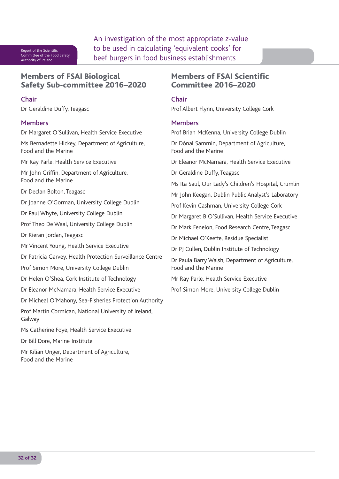An investigation of the most appropriate *z*-value to be used in calculating 'equivalent cooks' for beef burgers in food business establishments

## <span id="page-33-0"></span>Members of FSAI Biological Safety Sub-committee 2016–2020

#### Chair

Dr Geraldine Duffy, Teagasc

#### Members

Dr Margaret O'Sullivan, Health Service Executive Ms Bernadette Hickey, Department of Agriculture, Food and the Marine

Mr Ray Parle, Health Service Executive

Mr John Griffin, Department of Agriculture, Food and the Marine

Dr Declan Bolton, Teagasc

Dr Joanne O'Gorman, University College Dublin

Dr Paul Whyte, University College Dublin

Prof Theo De Waal, University College Dublin

Dr Kieran Jordan, Teagasc

Mr Vincent Young, Health Service Executive

Dr Patricia Garvey, Health Protection Surveillance Centre

Prof Simon More, University College Dublin

Dr Helen O'Shea, Cork Institute of Technology

Dr Eleanor McNamara, Health Service Executive

Dr Micheal O'Mahony, Sea-Fisheries Protection Authority

Prof Martin Cormican, National University of Ireland, Galway

Ms Catherine Foye, Health Service Executive

Dr Bill Dore, Marine Institute

Mr Kilian Unger, Department of Agriculture, Food and the Marine

## Members of FSAI Scientific Committee 2016–2020

#### Chair

Prof Albert Flynn, University College Cork

#### Members

Prof Brian McKenna, University College Dublin

Dr Dónal Sammin, Department of Agriculture, Food and the Marine

Dr Eleanor McNamara, Health Service Executive

Dr Geraldine Duffy, Teagasc

Ms Ita Saul, Our Lady's Children's Hospital, Crumlin

Mr John Keegan, Dublin Public Analyst's Laboratory

Prof Kevin Cashman, University College Cork

Dr Margaret B O'Sullivan, Health Service Executive

Dr Mark Fenelon, Food Research Centre, Teagasc

Dr Michael O'Keeffe, Residue Specialist

Dr PJ Cullen, Dublin Institute of Technology

Dr Paula Barry Walsh, Department of Agriculture, Food and the Marine

Mr Ray Parle, Health Service Executive

Prof Simon More, University College Dublin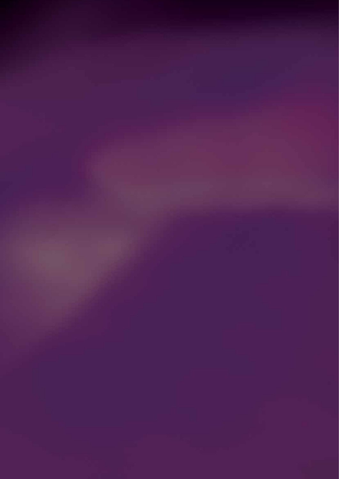